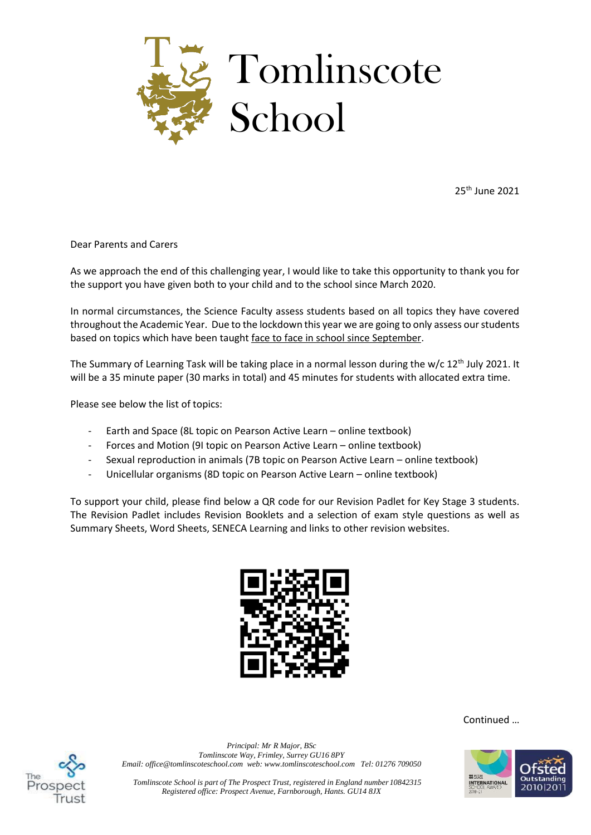

25th June 2021

Dear Parents and Carers

As we approach the end of this challenging year, I would like to take this opportunity to thank you for the support you have given both to your child and to the school since March 2020.

In normal circumstances, the Science Faculty assess students based on all topics they have covered throughout the Academic Year. Due to the lockdown this year we are going to only assess our students based on topics which have been taught face to face in school since September.

The Summary of Learning Task will be taking place in a normal lesson during the w/c  $12<sup>th</sup>$  July 2021. It will be a 35 minute paper (30 marks in total) and 45 minutes for students with allocated extra time.

Please see below the list of topics:

- Earth and Space (8L topic on Pearson Active Learn online textbook)
- Forces and Motion (9I topic on Pearson Active Learn online textbook)
- Sexual reproduction in animals (7B topic on Pearson Active Learn online textbook)
- Unicellular organisms (8D topic on Pearson Active Learn online textbook)

To support your child, please find below a QR code for our Revision Padlet for Key Stage 3 students. The Revision Padlet includes Revision Booklets and a selection of exam style questions as well as Summary Sheets, Word Sheets, SENECA Learning and links to other revision websites.



Continued …



*Principal: Mr R Major, BSc Tomlinscote Way, Frimley, Surrey GU16 8PY Email: office@tomlinscoteschool.com web[: www.tomlinscoteschool.com](http://www.tomlinscoteschool.com/) Tel: 01276 709050*



*Tomlinscote School is part of The Prospect Trust, registered in England number 10842315 Registered office: Prospect Avenue, Farnborough, Hants. GU14 8JX*